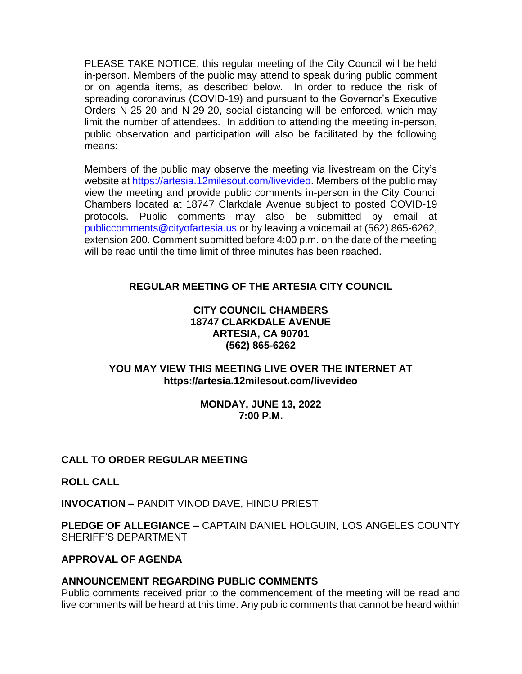PLEASE TAKE NOTICE, this regular meeting of the City Council will be held in-person. Members of the public may attend to speak during public comment or on agenda items, as described below. In order to reduce the risk of spreading coronavirus (COVID-19) and pursuant to the Governor's Executive Orders N-25-20 and N-29-20, social distancing will be enforced, which may limit the number of attendees. In addition to attending the meeting in-person, public observation and participation will also be facilitated by the following means:

Members of the public may observe the meeting via livestream on the City's website at [https://artesia.12milesout.com/livevideo.](https://artesia.12milesout.com/livevideo) Members of the public may view the meeting and provide public comments in-person in the City Council Chambers located at 18747 Clarkdale Avenue subject to posted COVID-19 protocols. Public comments may also be submitted by email at [publiccomments@cityofartesia.us](mailto:publiccomments@cityofartesia.us) or by leaving a voicemail at (562) 865-6262, extension 200. Comment submitted before 4:00 p.m. on the date of the meeting will be read until the time limit of three minutes has been reached.

# **REGULAR MEETING OF THE ARTESIA CITY COUNCIL**

### **CITY COUNCIL CHAMBERS 18747 CLARKDALE AVENUE ARTESIA, CA 90701 (562) 865-6262**

### **YOU MAY VIEW THIS MEETING LIVE OVER THE INTERNET AT https://artesia.12milesout.com/livevideo**

#### **MONDAY, JUNE 13, 2022 7:00 P.M.**

# **CALL TO ORDER REGULAR MEETING**

**ROLL CALL** 

**INVOCATION –** PANDIT VINOD DAVE, HINDU PRIEST

**PLEDGE OF ALLEGIANCE –** CAPTAIN DANIEL HOLGUIN, LOS ANGELES COUNTY SHERIFF'S DEPARTMENT

### **APPROVAL OF AGENDA**

### **ANNOUNCEMENT REGARDING PUBLIC COMMENTS**

Public comments received prior to the commencement of the meeting will be read and live comments will be heard at this time. Any public comments that cannot be heard within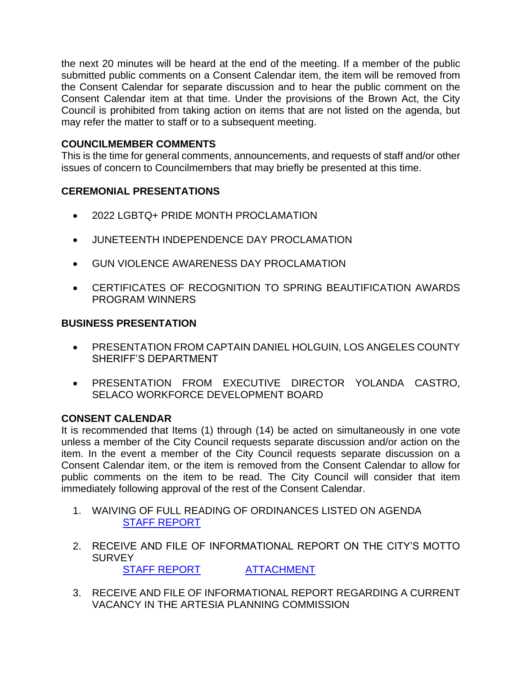the next 20 minutes will be heard at the end of the meeting. If a member of the public submitted public comments on a Consent Calendar item, the item will be removed from the Consent Calendar for separate discussion and to hear the public comment on the Consent Calendar item at that time. Under the provisions of the Brown Act, the City Council is prohibited from taking action on items that are not listed on the agenda, but may refer the matter to staff or to a subsequent meeting.

## **COUNCILMEMBER COMMENTS**

This is the time for general comments, announcements, and requests of staff and/or other issues of concern to Councilmembers that may briefly be presented at this time.

# **CEREMONIAL PRESENTATIONS**

- 2022 LGBTQ+ PRIDE MONTH PROCLAMATION
- JUNETEENTH INDEPENDENCE DAY PROCLAMATION
- GUN VIOLENCE AWARENESS DAY PROCLAMATION
- CERTIFICATES OF RECOGNITION TO SPRING BEAUTIFICATION AWARDS PROGRAM WINNERS

## **BUSINESS PRESENTATION**

- PRESENTATION FROM CAPTAIN DANIEL HOLGUIN, LOS ANGELES COUNTY SHERIFF'S DEPARTMENT
- PRESENTATION FROM EXECUTIVE DIRECTOR YOLANDA CASTRO, SELACO WORKFORCE DEVELOPMENT BOARD

### **CONSENT CALENDAR**

It is recommended that Items (1) through (14) be acted on simultaneously in one vote unless a member of the City Council requests separate discussion and/or action on the item. In the event a member of the City Council requests separate discussion on a Consent Calendar item, or the item is removed from the Consent Calendar to allow for public comments on the item to be read. The City Council will consider that item immediately following approval of the rest of the Consent Calendar.

- 1. WAIVING OF FULL READING OF ORDINANCES LISTED ON AGENDA [STAFF REPORT](https://www.cityofartesia.us/DocumentCenter/View/5504/1)
- 2. RECEIVE AND FILE OF INFORMATIONAL REPORT ON THE CITY'S MOTTO **SURVEY**

[STAFF REPORT](https://www.cityofartesia.us/DocumentCenter/View/5479/2) [ATTACHMENT](https://www.cityofartesia.us/DocumentCenter/View/5478/2---ATTACH)

3. RECEIVE AND FILE OF INFORMATIONAL REPORT REGARDING A CURRENT VACANCY IN THE ARTESIA PLANNING COMMISSION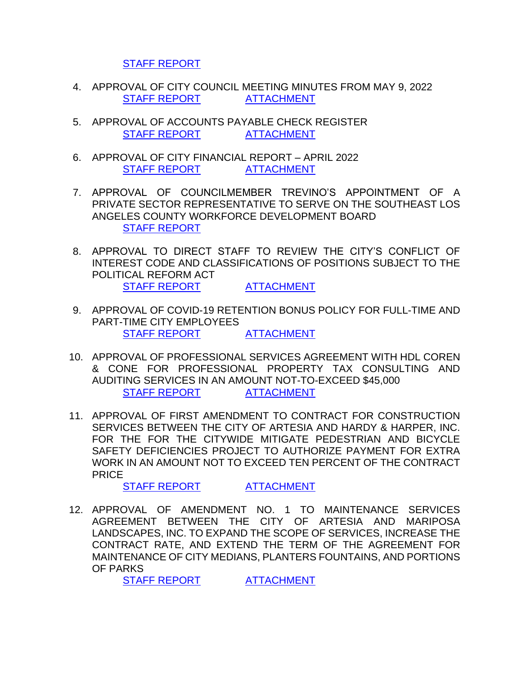[STAFF REPORT](https://www.cityofartesia.us/DocumentCenter/View/5480/3)

- 4. APPROVAL OF CITY COUNCIL MEETING MINUTES FROM MAY 9, 2022 [STAFF REPORT](https://www.cityofartesia.us/DocumentCenter/View/5482/4) [ATTACHMENT](https://www.cityofartesia.us/DocumentCenter/View/5481/4---ATTACH)
- 5. APPROVAL OF ACCOUNTS PAYABLE CHECK REGISTER [STAFF REPORT](https://www.cityofartesia.us/DocumentCenter/View/5484/5) [ATTACHMENT](https://www.cityofartesia.us/DocumentCenter/View/5483/5---ATTACH)
- 6. APPROVAL OF CITY FINANCIAL REPORT APRIL 2022 [STAFF REPORT](https://www.cityofartesia.us/DocumentCenter/View/5486/6) [ATTACHMENT](https://www.cityofartesia.us/DocumentCenter/View/5485/6---ATTACH)
- 7. APPROVAL OF COUNCILMEMBER TREVINO'S APPOINTMENT OF A PRIVATE SECTOR REPRESENTATIVE TO SERVE ON THE SOUTHEAST LOS ANGELES COUNTY WORKFORCE DEVELOPMENT BOARD [STAFF REPORT](https://www.cityofartesia.us/DocumentCenter/View/5487/7)
- 8. APPROVAL TO DIRECT STAFF TO REVIEW THE CITY'S CONFLICT OF INTEREST CODE AND CLASSIFICATIONS OF POSITIONS SUBJECT TO THE POLITICAL REFORM ACT [STAFF REPORT](https://www.cityofartesia.us/DocumentCenter/View/5489/8) [ATTACHMENT](https://www.cityofartesia.us/DocumentCenter/View/5488/8---ATTACH)
- 9. APPROVAL OF COVID-19 RETENTION BONUS POLICY FOR FULL-TIME AND PART-TIME CITY EMPLOYEES [STAFF REPORT](https://www.cityofartesia.us/DocumentCenter/View/5491/9) [ATTACHMENT](https://www.cityofartesia.us/DocumentCenter/View/5490/9---ATTACH)
- 10. APPROVAL OF PROFESSIONAL SERVICES AGREEMENT WITH HDL COREN & CONE FOR PROFESSIONAL PROPERTY TAX CONSULTING AND AUDITING SERVICES IN AN AMOUNT NOT-TO-EXCEED \$45,000 [STAFF REPORT](https://www.cityofartesia.us/DocumentCenter/View/5493/10) [ATTACHMENT](https://www.cityofartesia.us/DocumentCenter/View/5492/10--ATTACH)
- 11. APPROVAL OF FIRST AMENDMENT TO CONTRACT FOR CONSTRUCTION SERVICES BETWEEN THE CITY OF ARTESIA AND HARDY & HARPER, INC. FOR THE FOR THE CITYWIDE MITIGATE PEDESTRIAN AND BICYCLE SAFETY DEFICIENCIES PROJECT TO AUTHORIZE PAYMENT FOR EXTRA WORK IN AN AMOUNT NOT TO EXCEED TEN PERCENT OF THE CONTRACT PRICE

[STAFF REPORT](https://www.cityofartesia.us/DocumentCenter/View/5495/11) [ATTACHMENT](https://www.cityofartesia.us/DocumentCenter/View/5512/11---ATTACH)

12. APPROVAL OF AMENDMENT NO. 1 TO MAINTENANCE SERVICES AGREEMENT BETWEEN THE CITY OF ARTESIA AND MARIPOSA LANDSCAPES, INC. TO EXPAND THE SCOPE OF SERVICES, INCREASE THE CONTRACT RATE, AND EXTEND THE TERM OF THE AGREEMENT FOR MAINTENANCE OF CITY MEDIANS, PLANTERS FOUNTAINS, AND PORTIONS OF PARKS

[STAFF REPORT](https://www.cityofartesia.us/DocumentCenter/View/5497/12) [ATTACHMENT](https://www.cityofartesia.us/DocumentCenter/View/5496/12---ATTACH)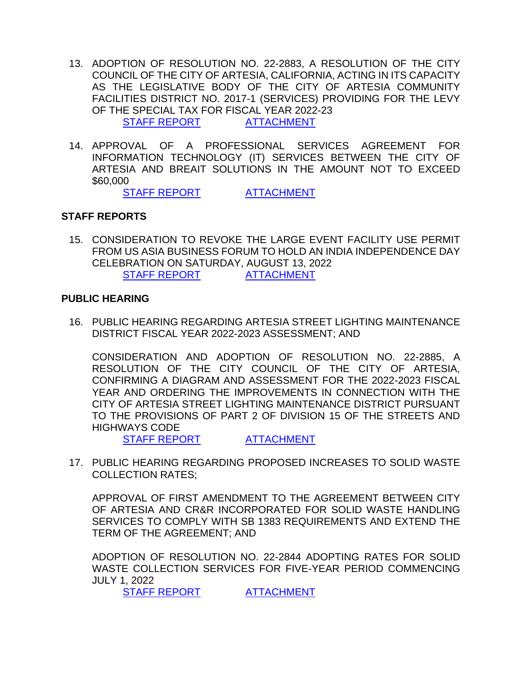- 13. ADOPTION OF RESOLUTION NO. 22-2883, A RESOLUTION OF THE CITY COUNCIL OF THE CITY OF ARTESIA, CALIFORNIA, ACTING IN ITS CAPACITY AS THE LEGISLATIVE BODY OF THE CITY OF ARTESIA COMMUNITY FACILITIES DISTRICT NO. 2017-1 (SERVICES) PROVIDING FOR THE LEVY OF THE SPECIAL TAX FOR FISCAL YEAR 2022-23 [STAFF REPORT](https://www.cityofartesia.us/DocumentCenter/View/5499/13) [ATTACHMENT](https://www.cityofartesia.us/DocumentCenter/View/5498/13---ATTACH)
- 14. APPROVAL OF A PROFESSIONAL SERVICES AGREEMENT FOR INFORMATION TECHNOLOGY (IT) SERVICES BETWEEN THE CITY OF ARTESIA AND BREAIT SOLUTIONS IN THE AMOUNT NOT TO EXCEED \$60,000

[STAFF REPORT](https://www.cityofartesia.us/DocumentCenter/View/5514/14) [ATTACHMENT](https://www.cityofartesia.us/DocumentCenter/View/5500/14---ATTACH)

### **STAFF REPORTS**

15. CONSIDERATION TO REVOKE THE LARGE EVENT FACILITY USE PERMIT FROM US ASIA BUSINESS FORUM TO HOLD AN INDIA INDEPENDENCE DAY CELEBRATION ON SATURDAY, AUGUST 13, 2022 [STAFF REPORT](https://www.cityofartesia.us/DocumentCenter/View/5503/15) [ATTACHMENT](https://www.cityofartesia.us/DocumentCenter/View/5502/15---ATTACH)

### **PUBLIC HEARING**

16. PUBLIC HEARING REGARDING ARTESIA STREET LIGHTING MAINTENANCE DISTRICT FISCAL YEAR 2022-2023 ASSESSMENT; AND

CONSIDERATION AND ADOPTION OF RESOLUTION NO. 22-2885, A RESOLUTION OF THE CITY COUNCIL OF THE CITY OF ARTESIA, CONFIRMING A DIAGRAM AND ASSESSMENT FOR THE 2022-2023 FISCAL YEAR AND ORDERING THE IMPROVEMENTS IN CONNECTION WITH THE CITY OF ARTESIA STREET LIGHTING MAINTENANCE DISTRICT PURSUANT TO THE PROVISIONS OF PART 2 OF DIVISION 15 OF THE STREETS AND HIGHWAYS CODE

[STAFF REPORT](https://www.cityofartesia.us/DocumentCenter/View/5505/16) [ATTACHMENT](https://www.cityofartesia.us/DocumentCenter/View/5506/16-ATTACH)

17. PUBLIC HEARING REGARDING PROPOSED INCREASES TO SOLID WASTE COLLECTION RATES;

APPROVAL OF FIRST AMENDMENT TO THE AGREEMENT BETWEEN CITY OF ARTESIA AND CR&R INCORPORATED FOR SOLID WASTE HANDLING SERVICES TO COMPLY WITH SB 1383 REQUIREMENTS AND EXTEND THE TERM OF THE AGREEMENT; AND

ADOPTION OF RESOLUTION NO. 22-2844 ADOPTING RATES FOR SOLID WASTE COLLECTION SERVICES FOR FIVE-YEAR PERIOD COMMENCING JULY 1, 2022

[STAFF REPORT](https://www.cityofartesia.us/DocumentCenter/View/5509/17) [ATTACHMENT](https://www.cityofartesia.us/DocumentCenter/View/5510/17---ATTACH)